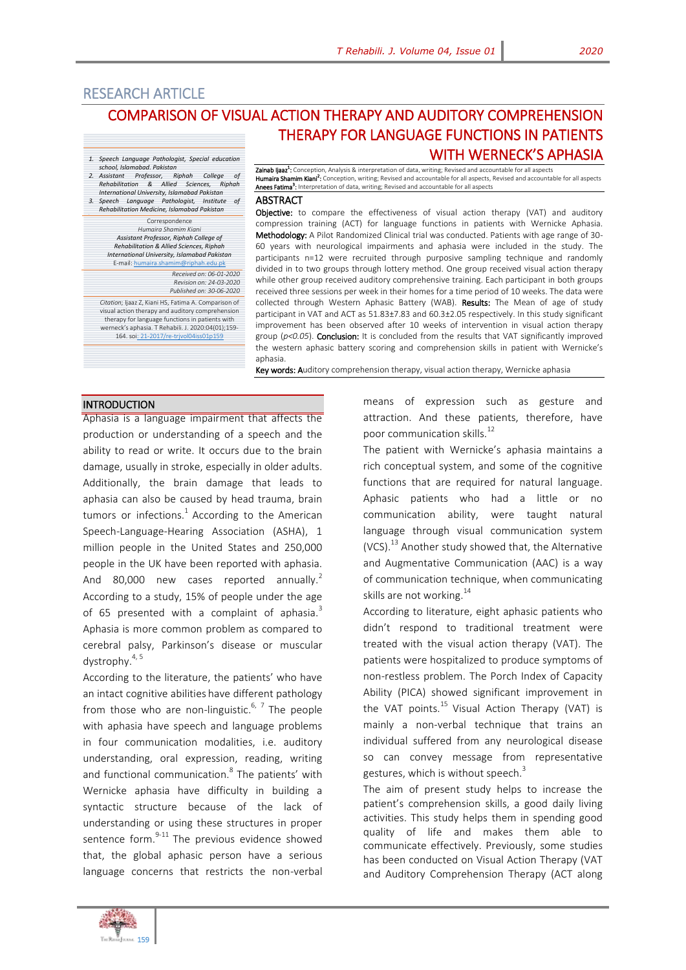# RESEARCH ARTICLE

*school, Islamabad. Pakistan*

E-mail: humaira.sh

*2. Assistant Professor, Riphah College of Rehabilitation & Allied Sciences, Riphah International University, Islamabad Pakistan 3. Speech Language Pathologist, Institute of Rehabilitation Medicine, Islamabad Pakistan* Correspondence *Humaira Shamim Kiani Assistant Professor, Riphah College of Rehabilitation & Allied Sciences, Riphah International University, Islamabad Pakistan*

*Citation*; Ijaaz Z, Kiani HS, Fatima A. Comparison of visual action therapy and auditory comprehension therapy for language functions in patients with werneck's aphasia. T Rehabili. J. 2020:04(01);159- 164. s[oi: 21-2017/re-trjvol04iss01p159](http://trjournal.org/index.php/TRJ/article/view/13)

# COMPARISON OF VISUAL ACTION THERAPY AND AUDITORY COMPREHENSION THERAPY FOR LANGUAGE FUNCTIONS IN PATIENTS WITH WERNECK'S APHASIA *1. Speech Language Pathologist, Special education*

Zainab Ijaaz<sup>1</sup>: Conception, Analysis & interpretation of data, writing; Revised and accountable for all aspects Humaira Shamim Kiani<sup>2</sup>: Conception, writing; Revised and accountable for all aspects, Revised and accountable for all aspects Anees Fatima<sup>3</sup>: Interpretation of data, writing; Revised and accountable for all aspects

#### **ABSTRACT**

Objective: to compare the effectiveness of visual action therapy (VAT) and auditory compression training (ACT) for language functions in patients with Wernicke Aphasia. Methodology: A Pilot Randomized Clinical trial was conducted. Patients with age range of 30-60 years with neurological impairments and aphasia were included in the study. The participants n=12 were recruited through purposive sampling technique and randomly divided in to two groups through lottery method. One group received visual action therapy while other group received auditory comprehensive training. Each participant in both groups received three sessions per week in their homes for a time period of 10 weeks. The data were collected through Western Aphasic Battery (WAB). Results: The Mean of age of study participant in VAT and ACT as 51.83±7.83 and 60.3±2.05 respectively. In this study significant improvement has been observed after 10 weeks of intervention in visual action therapy group (*p<0.05*). Conclusion: It is concluded from the results that VAT significantly improved the western aphasic battery scoring and comprehension skills in patient with Wernicke's aphasia.

Key words: Auditory comprehension therapy, visual action therapy, Wernicke aphasia

#### **INTRODUCTION**

Aphasia is a language impairment that affects the production or understanding of a speech and the ability to read or write. It occurs due to the brain damage, usually in stroke, especially in older adults. Additionally, the brain damage that leads to aphasia can also be caused by head trauma, brain tumors or infections.<sup>1</sup> According to the American Speech-Language-Hearing Association (ASHA), 1 million people in the United States and 250,000 people in the UK have been reported with aphasia. And 80,000 new cases reported annually.<sup>2</sup> According to a study, 15% of people under the age of 65 presented with a complaint of aphasia. $3$ Aphasia is more common problem as compared to cerebral palsy, Parkinson's disease or muscular dystrophy. $4,5$ 

*Received on: 06-01-2020 Revision on: 24-03-2020 Published on: 30-06-2020*

According to the literature, the patients' who have an intact cognitive abilities have different pathology from those who are non-linguistic.<sup>6, 7</sup> The people with aphasia have speech and language problems in four communication modalities, i.e. auditory understanding, oral expression, reading, writing and functional communication.<sup>8</sup> The patients' with Wernicke aphasia have difficulty in building a syntactic structure because of the lack of understanding or using these structures in proper sentence form. $9-11$  The previous evidence showed that, the global aphasic person have a serious language concerns that restricts the non-verbal

means of expression such as gesture and attraction. And these patients, therefore, have poor communication skills.<sup>12</sup>

The patient with Wernicke's aphasia maintains a rich conceptual system, and some of the cognitive functions that are required for natural language. Aphasic patients who had a little or no communication ability, were taught natural language through visual communication system (VCS).<sup>13</sup> Another study showed that, the Alternative and Augmentative Communication (AAC) is a way of communication technique, when communicating skills are not working.<sup>14</sup>

According to literature, eight aphasic patients who didn't respond to traditional treatment were treated with the visual action therapy (VAT). The patients were hospitalized to produce symptoms of non-restless problem. The Porch Index of Capacity Ability (PICA) showed significant improvement in the VAT points.<sup>15</sup> Visual Action Therapy (VAT) is mainly a non-verbal technique that trains an individual suffered from any neurological disease so can convey message from representative gestures, which is without speech. $3$ 

The aim of present study helps to increase the patient's comprehension skills, a good daily living activities. This study helps them in spending good quality of life and makes them able to communicate effectively. Previously, some studies has been conducted on Visual Action Therapy (VAT and Auditory Comprehension Therapy (ACT along

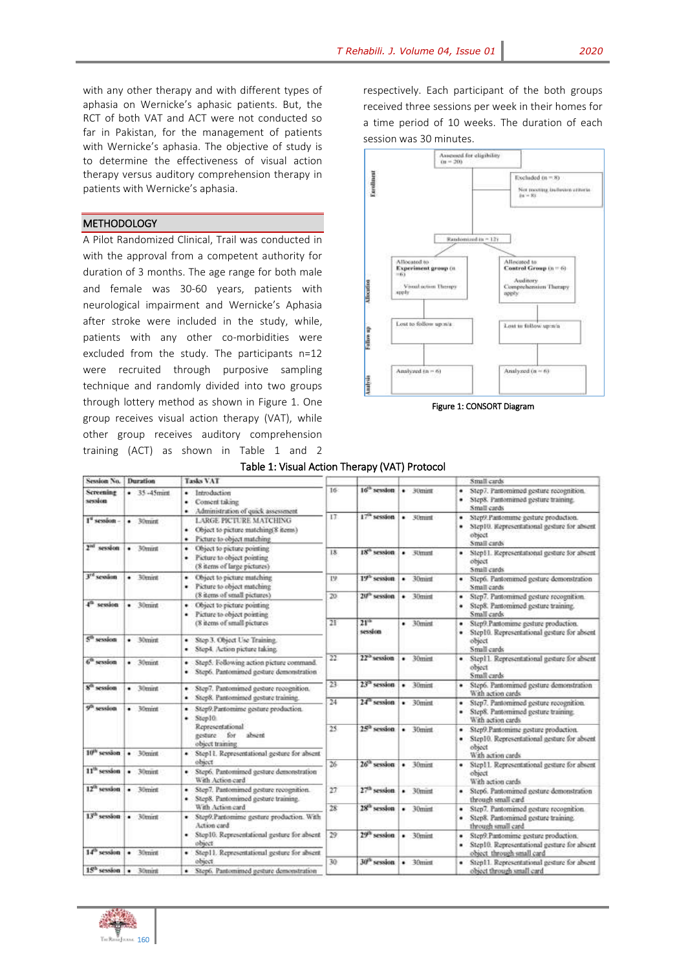with any other therapy and with different types of aphasia on Wernicke's aphasic patients. But, the RCT of both VAT and ACT were not conducted so far in Pakistan, for the management of patients with Wernicke's aphasia. The objective of study is to determine the effectiveness of visual action therapy versus auditory comprehension therapy in patients with Wernicke's aphasia.

### **METHODOLOGY**

A Pilot Randomized Clinical, Trail was conducted in with the approval from a competent authority for duration of 3 months. The age range for both male and female was 30-60 years, patients with neurological impairment and Wernicke's Aphasia after stroke were included in the study, while, patients with any other co-morbidities were excluded from the study. The participants n=12 were recruited through purposive sampling technique and randomly divided into two groups through lottery method as shown in Figure 1. One group receives visual action therapy (VAT), while other group receives auditory comprehension training (ACT) as shown in Table 1 and 2 respectively. Each participant of the both groups received three sessions per week in their homes for a time period of 10 weeks. The duration of each session was 30 minutes.



Figure 1: CONSORT Diagram

#### Table 1: Visual Action Therapy (VAT) Protocol

| Session No.                    | Duration        | <b>Tasks VAT</b>                                                                                            |                 |                             |                   | Small cards                                                                                                           |
|--------------------------------|-----------------|-------------------------------------------------------------------------------------------------------------|-----------------|-----------------------------|-------------------|-----------------------------------------------------------------------------------------------------------------------|
| Screening<br>mission           | $-35 - 45$ mint | Introduction<br>٠<br>Consent taking<br>٠<br>· Administration of quick assessment                            | 16 <sup>°</sup> | $16^{th}$ session           | $\bullet$ 30 mint | Step7. Pantomimed gesture recognition.<br>٠<br>Step8. Pantomirned gesture training.<br>Small cards                    |
| 1 <sup>e</sup> session         | $-30$ mmt       | <b>LARGE PICTURE MATCHING</b><br>Object to picture matching 8 nems)<br>۰<br>Picture to object matching<br>٠ | 17.             | $17^\circ$ session          | $-30$ mint        | Step9.Pantomime gesture production.<br>٠<br>Step10. Representational gesture for absent<br>٠<br>obsect<br>Small cards |
| 2 <sup>nd</sup> session        | $-30$ mm        | Object to picture pointing<br>٠<br>Picture to object pointing<br>٠<br>(8 items of large pictures)           | 18              | 18 <sup>ch</sup> session    | $-30$ mmt         | Step11. Representational gesture for absent<br>object<br>Small cards                                                  |
| 3 <sup>rd</sup> seedom         | $-30$ mint      | Object to picture matching<br>٠<br>Picture to object matching<br>٠                                          | I9              | 19 <sup>th</sup> session    | 30mint<br>٠       | · Step6. Pantomimed gesture demonstration<br>Small cards                                                              |
| $4o$ session                   | $-30$ mmt       | (8 items of small pictures).<br>· Object to picture pointing<br>Picture to object pointing<br>٠             | 20              | $20th$ session              | $-30$ mint        | Step7. Pantomirned gesture recognition.<br>٠<br>Step8. Pantomimed gesture training.<br>Small cards                    |
| 5 <sup>th</sup> session        | $-30$ mint      | (8 items of small pictures<br>Step 3. Object Use Training.<br>٠<br>Step4. Action picture taking.<br>٠       | $21^{\circ}$    | 21 <sup>th</sup><br>session | $-30$ mint        | · Step9.Pantomime gesture production.<br>Step10. Representational gesture for absent<br>٠<br>object<br>Small cards    |
| $6th$ session                  | $-30$ mint      | Step5. Fellowing action picture command.<br>٠<br>· Step6. Pantomimed gesture demonstration                  | 22              | 22 <sup>th</sup> session    | 30mint<br>٠       | · Step11. Representational gesture for absent<br>object<br>Small cards                                                |
| S <sup>O</sup> session         | $-30$ mint      | Step7. Pantomimed gesture recognition.<br>۰<br>Step8. Pantomimed gesture training.<br>٠                     | $23 -$          | $232$ session               | $-30$ mint        | · Step6. Pantomirned gesture demonstration<br>With action cards                                                       |
| 9 <sup>0</sup> session         | $-30$ mint      | Step9.Pantomine gesture production.<br>٠<br>Step10<br>٠                                                     | $^{24}$         | 24 <sup>th</sup> session    | $-30$ mint        | Step7. Pantomirned gesture recognition.<br>٠<br>Step8. Pantomirned gesture training.<br>٠<br>With action cards        |
| $10^{th}$ session              |                 | Representational<br>absent<br>eesture.<br>for<br>object training                                            | $^{25}$         | 25 <sup>2</sup> session     | $-30$ mint        | Step9.Pantomine gesture production.<br>٠<br>Step10. Representational gesture for absent<br>object                     |
|                                | $-30$ mmt       | · Step11, Representational gesture for absent<br>object                                                     | 26              | $26^{\circ}$ session        | $-30$ mint        | With action cards                                                                                                     |
| $11th$ session                 | $-30$ mmt       | · Step6. Pantoniimed gesture demonstration<br>With Action card                                              |                 |                             |                   | Step11. Representational gesture for absent<br>object<br>With action cards                                            |
| $12^\alpha$ session            | $-30$ mint      | Step7. Pantomirned gesture recognition.<br>۰<br>Step8. Pantomirned gesture training.<br>٠                   | 27              | 27th session                | 30mint<br>٠       | Step6. Pantomirned gesture demonstration<br>٠<br>through small card                                                   |
| $13th$ session                 | $-30$ mint      | With Action card<br>· Step9.Pantomime gesture production. With<br>Action card                               | 28              | 28 <sup>th</sup> session    | $-30$ mmt         | Step7. Pantomimed gesture recognition.<br>٠<br>Step8. Pantomimed gesture training.<br>٠<br>through small card         |
| 14 <sup>th</sup> session       | $-30$ mmt       | · Step10. Representational gesture for absent<br>object<br>· Step11. Representational gesture for absent    | 29              | 29 <sup>th</sup> session    | $-30$ mint        | Step9.Pantomime gesture production.<br>٠<br>Step10. Representational gesture for absent<br>object through small card  |
| 15 <sup>h</sup> session . 30mm |                 | object<br>· Step6. Pantomimed gesture demonstration                                                         | 30              | 30 <sup>th</sup> session    | $-30$ mint        | · Step11. Representational gesture for absent<br>object through small card                                            |

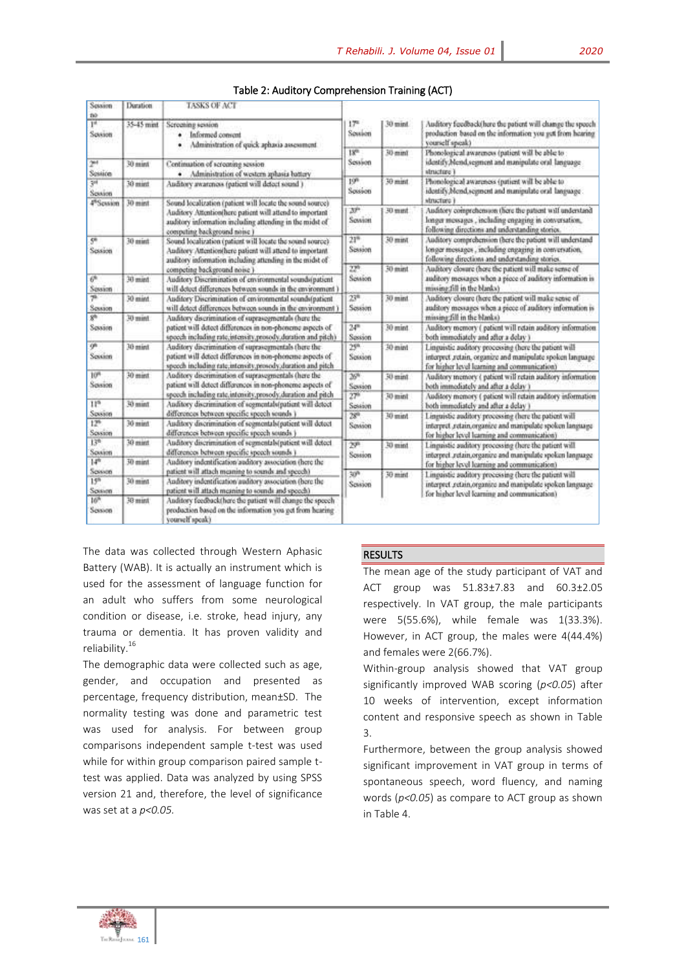| Sousion<br>no                         | Duration           | <b>TASKS OF ACT</b>                                                                                                                                                                                               |                                |           |                                                                                                                                                                                     |  |
|---------------------------------------|--------------------|-------------------------------------------------------------------------------------------------------------------------------------------------------------------------------------------------------------------|--------------------------------|-----------|-------------------------------------------------------------------------------------------------------------------------------------------------------------------------------------|--|
| 1 <sup>4</sup><br>Sousion             | 35-45 mint         | Screening session<br>Informed convent<br>٠<br>Administration of quick aphasia assessment                                                                                                                          | $17 -$<br>Soution              | 30 mint   | Auditory feedback(here the patient will change the speech<br>production based on the information you get from hearing<br>yourself speak)                                            |  |
| 2 <sup>nt</sup>                       | 30 mint            | Continuation of screating session                                                                                                                                                                                 | 13 <sup>m</sup><br>Session     | 30-mml    | Phonological awareness (patient will be able to<br>identify, Mend, segment and manipulate oral language                                                                             |  |
| Sessión<br>31<br>Spason               | 30 mint            | · Administration of western aphasia battery<br>Auditory awareness (patient will detect sound.)                                                                                                                    | 19 <sup>n</sup><br>Sossion     | 30 mint   | structure 1<br>Phonological awareness (patient will be able to<br>identify/Mend, segment and manipulate oral language.                                                              |  |
| 4 <sup>6</sup> Session                | 30 mint            | Sound localization (patient will locate the sound source)<br>Auditory Attention(here patient will attend to important<br>auditory information including attending in the midst of<br>competing background noise 1 | ЖP<br>Sewinn                   | 30 mmt    | structure 1<br>Auditory comprehension (here the patient will understand<br>longer messages , including engaging in conversation,<br>following directions and understanding stories. |  |
| 5 <sup>8</sup><br>Session             | 30 mint            | Sound localization (patient will locate the sound source)<br>Auditory Attention(here patient will attend to important<br>auditory information including attending in the midst of                                 | $21^{6}$<br>Session.           | 30 mm 02  | Auditory comprehension (here the patient will understand<br>longer messages, including engaging in conversation,<br>following directions and understanding stories.                 |  |
| 6 <sup>6</sup><br>Session             | 30 mint            | competing background noise )<br>Auditory Discrimination of environmental sounds(patient<br>will detect differences between sounds in the environment )                                                            | 22 <sup>th</sup><br>Session    | 30 mint   | Auditory closure there the patient will make sense of<br>auditory messages when a piece of auditory information is<br>missing fill in the blanks)                                   |  |
| 46<br>Session<br>ýh                   | $30$ mint          | Auditory Discrimination of environmental sounds(patient<br>will detect differences between sounds in the environment.)                                                                                            | $23^{\circ}$<br>Session        | $30$ mint | Auditory closure (here the patient will make sense of<br>auditory messages when a piece of auditory information is<br>missing fill in the blanks)                                   |  |
| Session                               | Tours 07           | Auditory discrimination of suprasegmentals (here the<br>patient will detect differences in non-phoneme aspects of<br>speech including rate,intensity,prosedy,duration and pitch)                                  | $24^{\circ}$<br>Session        | 30 mint   | Auditory memory (patient will retain auditory information<br>both immediately and after a delay 3                                                                                   |  |
| q <sub>n</sub><br>Sousien             | 10 mint            | Auditory discrimination of suprasegmentals (here the<br>patient will detect differences in non-phoneme aspects of<br>speech including rate,intensity,prosedy,duration and pitch                                   | 299<br>Session                 | 30-mint   | Linguistic auditory processing (here the patient will<br>interpret ,retain, organize and manipulate spoken language<br>for higher level learning and communication)                 |  |
| 10 <sup>m</sup><br>Session            | 30 mint            | Auditory discrimination of suprasegmentals (here the<br>patient will detect differences in non-phoneme aspects of                                                                                                 | $26\%$<br>Sewien               | $30$ mint | Auditory memory ( patient will retain auditory information<br>both immediately and after a delay's                                                                                  |  |
| 11 <sub>a</sub><br>Session            | 30 mint            | speech including rate,intensity,prosedy,duration and pitch<br>Auditory discrimination of segmental (patient will detect<br>differences between specific speech sounds (                                           | $27^{\circ}$<br>Sossion<br>289 | 30 mint   | Auditory memory ( patient will retain auditory information<br>both immediately and after a delay 1                                                                                  |  |
| $12^{6}$<br>Sossion                   | 30 mint            | Auditory discrimination of segmentals(patient will detect<br>differences between specific speech sounds )                                                                                                         | Sevison                        | 10 mint   | Linguistic auditory processing (here the patient will<br>interpret ,retain,organize and manipulate spoken language<br>for higher level learning and communication)                  |  |
| 13 <sup>n</sup><br>Souson<br>$14^{h}$ | 30 mint<br>30 mint | Auditory discrimination of segmentals(patient will detect<br>differences between specific speech sounds )<br>Auditory indentification auditory association (here the                                              | 20 <sup>0</sup><br>Session     | 30 mint   | Linguistic auditory processing (here the patient will<br>interpret .retain.organize and manipulate spoken language<br>for higher level learning and communication)                  |  |
| Soxion<br>15 <sup>n</sup><br>Sousen.  | 30 mint            | patient will attach meaning to sounds and speech)<br>Anditory indentification auditory association (here the<br>patient will attach meaning to sounds and speech)                                                 | 30 <sup>h</sup><br>Session     | 30 mint   | Linguistic auditory processing (here the patient will<br>interpret .cetain.organize and manipulate spoken language<br>for higher level fearning and communication)                  |  |
| 16 <sup>h</sup><br>Session            | 30 mint            | Anditory feedback(here the patient will change the speech<br>production based on the information you get from hearing<br>yourself speak)                                                                          |                                |           |                                                                                                                                                                                     |  |

#### Table 2: Auditory Comprehension Training (ACT)

The data was collected through Western Aphasic Battery (WAB). It is actually an instrument which is used for the assessment of language function for an adult who suffers from some neurological condition or disease, i.e. stroke, head injury, any trauma or dementia. It has proven validity and reliability.<sup>16</sup>

The demographic data were collected such as age, gender, and occupation and presented as percentage, frequency distribution, mean±SD. The normality testing was done and parametric test was used for analysis. For between group comparisons independent sample t-test was used while for within group comparison paired sample ttest was applied. Data was analyzed by using SPSS version 21 and, therefore, the level of significance was set at a *p<0.05.*

### **RESULTS**

The mean age of the study participant of VAT and ACT group was 51.83±7.83 and 60.3±2.05 respectively. In VAT group, the male participants were 5(55.6%), while female was 1(33.3%). However, in ACT group, the males were 4(44.4%) and females were 2(66.7%).

Within-group analysis showed that VAT group significantly improved WAB scoring (*p<0.05*) after 10 weeks of intervention, except information content and responsive speech as shown in Table 3.

Furthermore, between the group analysis showed significant improvement in VAT group in terms of spontaneous speech, word fluency, and naming words (*p<0.05*) as compare to ACT group as shown in Table 4.

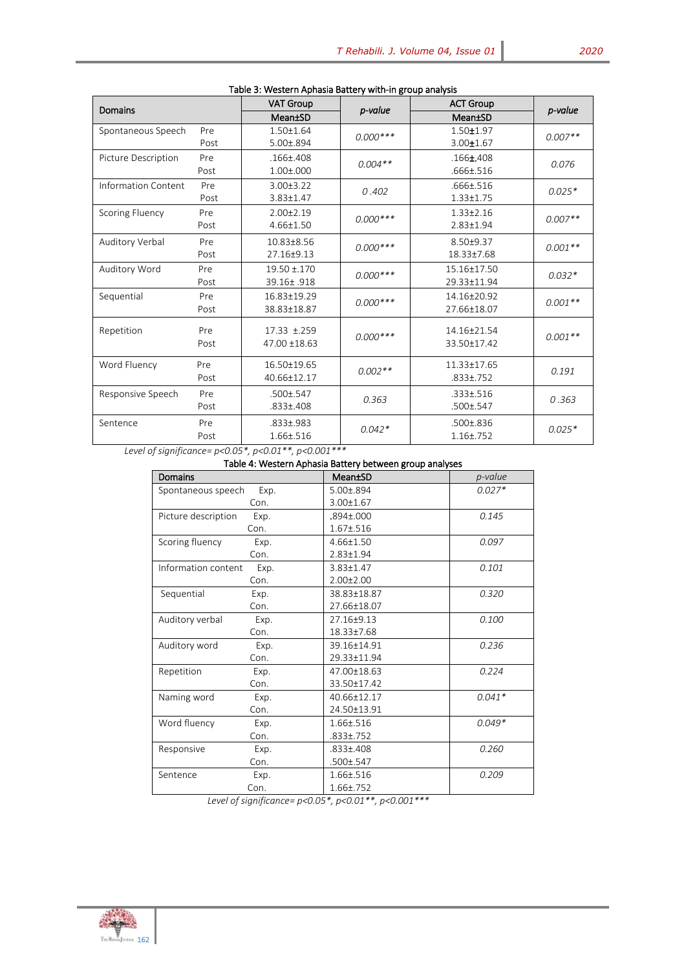| <b>Domains</b>             |      | <b>VAT Group</b> | p-value    | <b>ACT Group</b> |           |
|----------------------------|------|------------------|------------|------------------|-----------|
|                            |      | Mean±SD          |            | Mean±SD          | p-value   |
| Spontaneous Speech         | Pre  | $1.50 \pm 1.64$  | $0.000***$ | $1.50 + 1.97$    | $0.007**$ |
|                            | Post | $5.00 \pm .894$  |            | $3.00 \pm 1.67$  |           |
| Picture Description        | Pre  | $.166 \pm .408$  | $0.004**$  | $.166 \pm 408$   | 0.076     |
|                            | Post | $1.00 \pm 0.000$ |            | .666±.516        |           |
| <b>Information Content</b> | Pre  | $3.00 \pm 3.22$  |            | .666±.516        | $0.025*$  |
|                            | Post | 3.83±1.47        | 0.402      | $1.33 \pm 1.75$  |           |
| <b>Scoring Fluency</b>     | Pre  | $2.00+2.19$      | $0.000***$ | $1.33 \pm 2.16$  | $0.007**$ |
|                            | Post | 4.66±1.50        |            | 2.83±1.94        |           |
| Auditory Verbal            | Pre  | 10.83±8.56       | $0.000***$ | 8.50±9.37        | $0.001**$ |
|                            | Post | 27.16±9.13       |            | 18.33±7.68       |           |
| Auditory Word              | Pre  | $19.50 \pm 170$  | $0.000***$ | 15.16±17.50      | $0.032*$  |
|                            | Post | 39.16±.918       |            | 29.33±11.94      |           |
| Sequential                 | Pre  | 16.83+19.29      | $0.000***$ | 14.16±20.92      | $0.001**$ |
|                            | Post | 38.83±18.87      |            | 27.66±18.07      |           |
| Repetition                 | Pre  | 17.33 ±.259      |            | 14.16±21.54      |           |
|                            | Post | 47.00 ±18.63     | $0.000***$ | 33.50±17.42      | $0.001**$ |
|                            |      |                  |            |                  |           |
| Word Fluency               | Pre  | 16.50±19.65      | $0.002**$  | 11.33±17.65      | 0.191     |
|                            | Post | 40.66±12.17      |            | $.833 \pm .752$  |           |
| Responsive Speech          | Pre  | .500±.547        | 0.363      | .333±.516        | 0.363     |
|                            | Post | .833±.408        |            | .500±.547        |           |
| Sentence                   | Pre  | $.833 + .983$    | $0.042*$   | $.500 \pm .836$  | $0.025*$  |
|                            | Post | 1.66±.516        |            | $1.16 \pm .752$  |           |

#### Table 3: Western Aphasia Battery with-in group analysis

*Level of significance= p<0.05\*, p<0.01\*\*, p<0.001\*\*\**

# Table 4: Western Aphasia Battery between group analyses

| Domains             |      | Mean±SD         | p-value  |
|---------------------|------|-----------------|----------|
| Spontaneous speech  | Exp. | 5.00±.894       | $0.027*$ |
|                     | Con. | 3.00±1.67       |          |
| Picture description | Exp. | .894±.000       | 0.145    |
|                     | Con. | $1.67 + .516$   |          |
| Scoring fluency     | Exp. | 4.66±1.50       | 0.097    |
|                     | Con. | 2.83±1.94       |          |
| Information content | Exp. | 3.83±1.47       | 0.101    |
|                     | Con. | $2.00 \pm 2.00$ |          |
| Sequential          | Exp. | 38.83±18.87     | 0.320    |
|                     | Con. | 27.66±18.07     |          |
| Auditory verbal     | Exp. | 27.16+9.13      | 0.100    |
|                     | Con. | 18.33±7.68      |          |
| Auditory word       | Exp. | 39.16±14.91     | 0.236    |
|                     | Con. | 29.33±11.94     |          |
| Repetition          | Exp. | 47.00±18.63     | 0.224    |
|                     | Con. | 33.50±17.42     |          |
| Naming word         | Exp. | 40.66±12.17     | $0.041*$ |
|                     | Con. | 24.50±13.91     |          |
| Word fluency        | Exp. | 1.66±.516       | $0.049*$ |
|                     | Con. | .833±.752       |          |
| Responsive          | Exp. | .833±.408       | 0.260    |
|                     | Con. | .500±.547       |          |
| Sentence            | Exp. | 1.66±.516       | 0.209    |
|                     | Con. | 1.66±.752       |          |

 *Level of significance= p<0.05\*, p<0.01\*\*, p<0.001\*\*\**

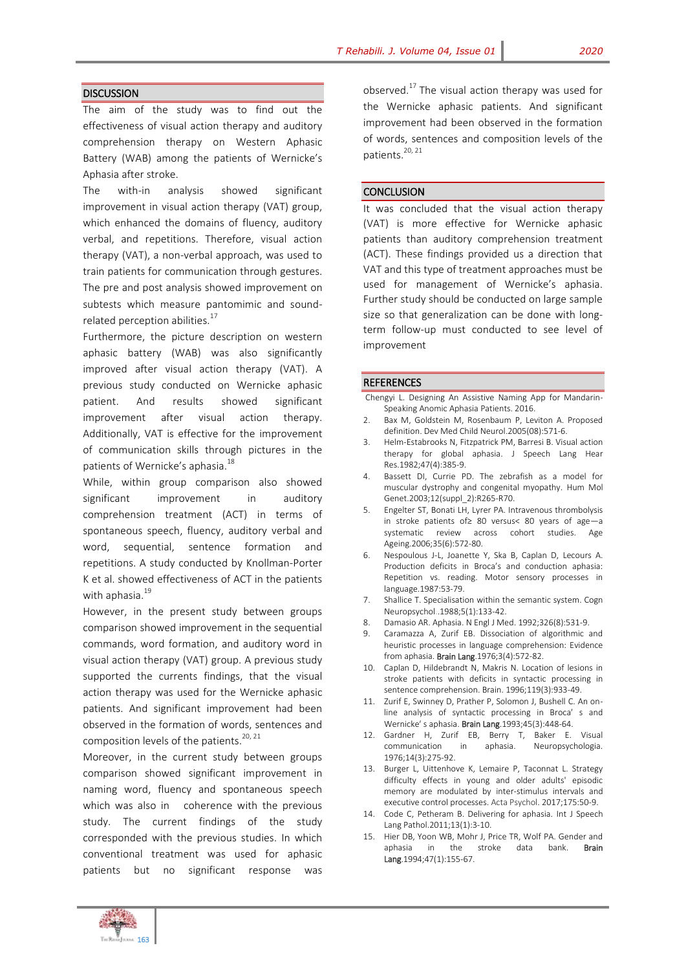## **DISCUSSION**

The aim of the study was to find out the effectiveness of visual action therapy and auditory comprehension therapy on Western Aphasic Battery (WAB) among the patients of Wernicke's Aphasia after stroke.

The with-in analysis showed significant improvement in visual action therapy (VAT) group, which enhanced the domains of fluency, auditory verbal, and repetitions. Therefore, visual action therapy (VAT), a non-verbal approach, was used to train patients for communication through gestures. The pre and post analysis showed improvement on subtests which measure pantomimic and soundrelated perception abilities.<sup>17</sup>

Furthermore, the picture description on western aphasic battery (WAB) was also significantly improved after visual action therapy (VAT). A previous study conducted on Wernicke aphasic patient. And results showed significant improvement after visual action therapy. Additionally, VAT is effective for the improvement of communication skills through pictures in the patients of Wernicke's aphasia.<sup>18</sup>

While, within group comparison also showed significant improvement in auditory comprehension treatment (ACT) in terms of spontaneous speech, fluency, auditory verbal and word, sequential, sentence formation and repetitions. A study conducted by Knollman-Porter K et al. showed effectiveness of ACT in the patients with aphasia.<sup>19</sup>

However, in the present study between groups comparison showed improvement in the sequential commands, word formation, and auditory word in visual action therapy (VAT) group. A previous study supported the currents findings, that the visual action therapy was used for the Wernicke aphasic patients. And significant improvement had been observed in the formation of words, sentences and composition levels of the patients. $20, 21$ 

Moreover, in the current study between groups comparison showed significant improvement in naming word, fluency and spontaneous speech which was also in coherence with the previous study. The current findings of the study corresponded with the previous studies. In which conventional treatment was used for aphasic patients but no significant response was

observed. $^{17}$  The visual action therapy was used for the Wernicke aphasic patients. And significant improvement had been observed in the formation of words, sentences and composition levels of the patients.<sup>20, 21</sup>

#### **CONCLUSION**

It was concluded that the visual action therapy (VAT) is more effective for Wernicke aphasic patients than auditory comprehension treatment (ACT). These findings provided us a direction that VAT and this type of treatment approaches must be used for management of Wernicke's aphasia. Further study should be conducted on large sample size so that generalization can be done with longterm follow-up must conducted to see level of improvement

#### **REFERENCES**

Chengyi L. Designing An Assistive Naming App for Mandarin-Speaking Anomic Aphasia Patients. 2016.

- Bax M, Goldstein M, Rosenbaum P, Leviton A. Proposed definition. Dev Med Child Neurol.2005(08):571-6.
- 3. Helm-Estabrooks N, Fitzpatrick PM, Barresi B. Visual action therapy for global aphasia. J Speech Lang Hear Res.1982;47(4):385-9.
- 4. Bassett DI, Currie PD. The zebrafish as a model for muscular dystrophy and congenital myopathy. Hum Mol Genet.2003;12(suppl\_2):R265-R70.
- 5. Engelter ST, Bonati LH, Lyrer PA. Intravenous thrombolysis in stroke patients of≥ 80 versus< 80 years of age—a systematic review across cohort studies. Age Ageing.2006;35(6):572-80.
- 6. Nespoulous J-L, Joanette Y, Ska B, Caplan D, Lecours A. Production deficits in Broca's and conduction aphasia: Repetition vs. reading. Motor sensory processes in language.1987:53-79.
- 7. Shallice T. Specialisation within the semantic system. Cogn Neuropsychol..1988;5(1):133-42.
- 8. Damasio AR. Aphasia. N Engl J Med. 1992;326(8):531-9.
- 9. Caramazza A, Zurif EB. Dissociation of algorithmic and heuristic processes in language comprehension: Evidence from aphasia. Brain Lang.1976;3(4):572-82.
- 10. Caplan D, Hildebrandt N, Makris N. Location of lesions in stroke patients with deficits in syntactic processing in sentence comprehension. Brain. 1996;119(3):933-49.
- 11. Zurif E, Swinney D, Prather P, Solomon J, Bushell C. An online analysis of syntactic processing in Broca′ s and Wernicke′ s aphasia. Brain Lang.1993;45(3):448-64.
- 12. Gardner H, Zurif EB, Berry T, Baker E. Visual communication in aphasia. Neuropsychologia. 1976;14(3):275-92.
- 13. Burger L, Uittenhove K, Lemaire P, Taconnat L. Strategy difficulty effects in young and older adults' episodic memory are modulated by inter-stimulus intervals and executive control processes. Acta Psychol. 2017;175:50-9.
- 14. Code C, Petheram B. Delivering for aphasia. Int J Speech Lang Pathol.2011;13(1):3-10.
- 15. Hier DB, Yoon WB, Mohr J, Price TR, Wolf PA. Gender and aphasia in the stroke data bank. Brain Lang.1994;47(1):155-67.